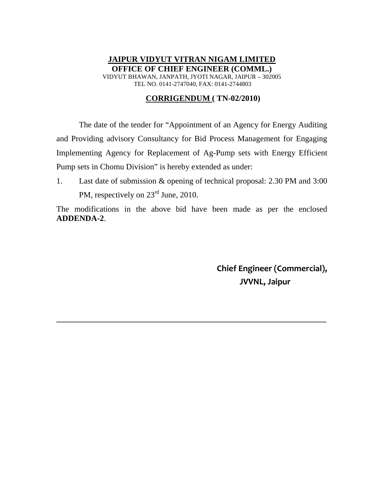## **JAIPUR VIDYUT VITRAN NIGAM LIMITED OFFICE OF CHIEF ENGINEER (COMML.)**  VIDYUT BHAWAN, JANPATH, JYOTI NAGAR, JAIPUR – 302005 TEL NO. 0141-2747040, FAX: 0141-2744803

## **CORRIGENDUM ( TN-02/2010)**

The date of the tender for "Appointment of an Agency for Energy Auditing and Providing advisory Consultancy for Bid Process Management for Engaging Implementing Agency for Replacement of Ag-Pump sets with Energy Efficient Pump sets in Chomu Division" is hereby extended as under:

1. Last date of submission & opening of technical proposal: 2.30 PM and 3:00 PM, respectively on  $23<sup>rd</sup>$  June, 2010.

The modifications in the above bid have been made as per the enclosed **ADDENDA-2**.

\_\_\_\_\_\_\_\_\_\_\_\_\_\_\_\_\_\_\_\_\_\_\_\_\_\_\_\_\_\_\_\_\_\_\_\_\_\_\_\_\_\_\_\_\_\_\_\_\_\_\_\_\_\_\_\_\_\_\_\_\_

**Chief Engineer (Commercial), JVVNL, Jaipur**